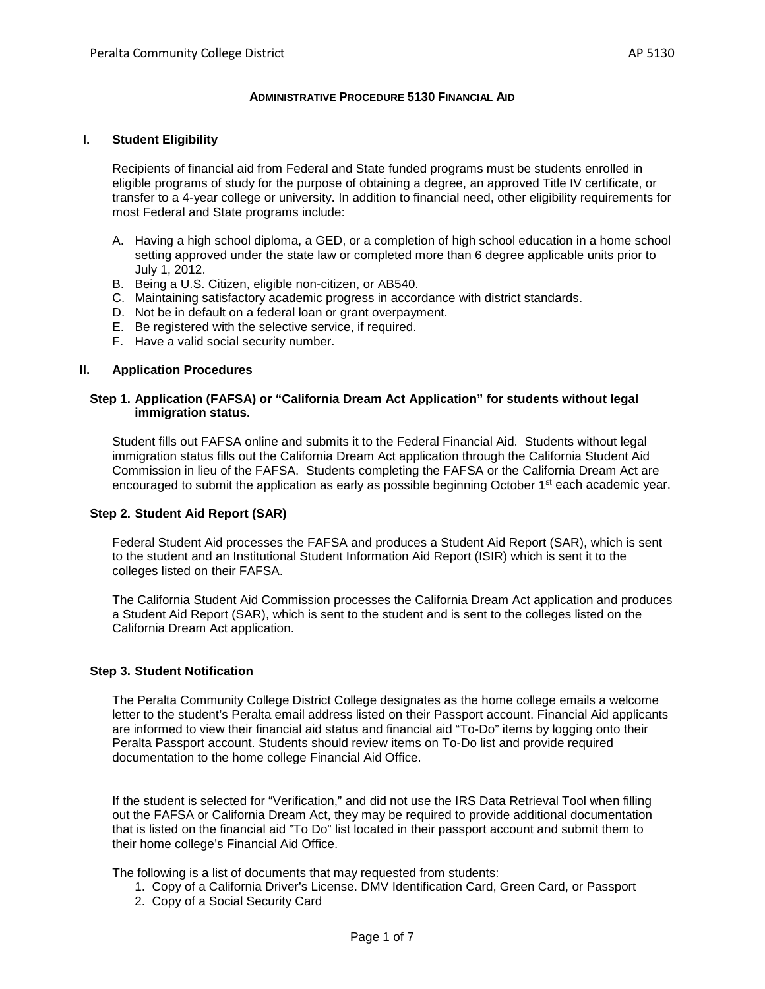#### **ADMINISTRATIVE PROCEDURE 5130 FINANCIAL AID**

#### **I. Student Eligibility**

Recipients of financial aid from Federal and State funded programs must be students enrolled in eligible programs of study for the purpose of obtaining a degree, an approved Title IV certificate, or transfer to a 4-year college or university. In addition to financial need, other eligibility requirements for most Federal and State programs include:

- A. Having a high school diploma, a GED, or a completion of high school education in a home school setting approved under the state law or completed more than 6 degree applicable units prior to July 1, 2012.
- B. Being a U.S. Citizen, eligible non-citizen, or AB540.
- C. Maintaining satisfactory academic progress in accordance with district standards.
- D. Not be in default on a federal loan or grant overpayment.
- E. Be registered with the selective service, if required.
- F. Have a valid social security number.

#### **II. Application Procedures**

#### **Step 1. Application (FAFSA) or "California Dream Act Application" for students without legal immigration status.**

Student fills out FAFSA online and submits it to the Federal Financial Aid. Students without legal immigration status fills out the California Dream Act application through the California Student Aid Commission in lieu of the FAFSA. Students completing the FAFSA or the California Dream Act are encouraged to submit the application as early as possible beginning October 1<sup>st</sup> each academic year.

#### **Step 2. Student Aid Report (SAR)**

Federal Student Aid processes the FAFSA and produces a Student Aid Report (SAR), which is sent to the student and an Institutional Student Information Aid Report (ISIR) which is sent it to the colleges listed on their FAFSA.

The California Student Aid Commission processes the California Dream Act application and produces a Student Aid Report (SAR), which is sent to the student and is sent to the colleges listed on the California Dream Act application.

#### **Step 3. Student Notification**

The Peralta Community College District College designates as the home college emails a welcome letter to the student's Peralta email address listed on their Passport account. Financial Aid applicants are informed to view their financial aid status and financial aid "To-Do" items by logging onto their Peralta Passport account. Students should review items on To-Do list and provide required documentation to the home college Financial Aid Office.

If the student is selected for "Verification," and did not use the IRS Data Retrieval Tool when filling out the FAFSA or California Dream Act, they may be required to provide additional documentation that is listed on the financial aid "To Do" list located in their passport account and submit them to their home college's Financial Aid Office.

The following is a list of documents that may requested from students:

- 1. Copy of a California Driver's License. DMV Identification Card, Green Card, or Passport
- 2. Copy of a Social Security Card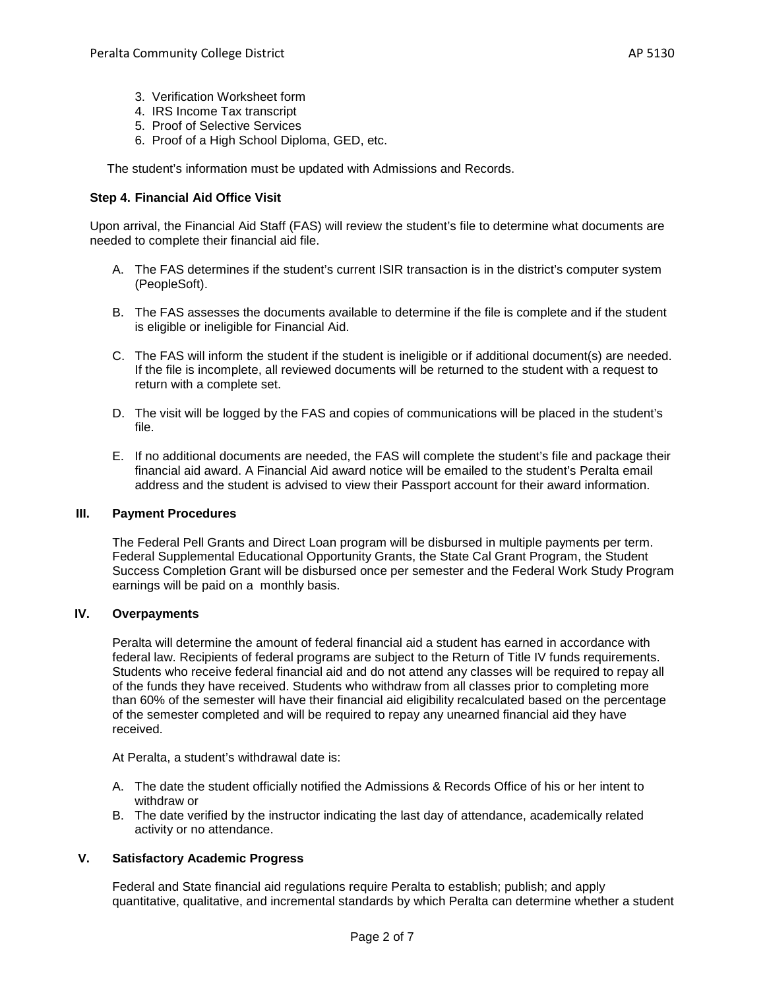- 3. Verification Worksheet form
- 4. IRS Income Tax transcript
- 5. Proof of Selective Services
- 6. Proof of a High School Diploma, GED, etc.

The student's information must be updated with Admissions and Records.

### **Step 4. Financial Aid Office Visit**

Upon arrival, the Financial Aid Staff (FAS) will review the student's file to determine what documents are needed to complete their financial aid file.

- A. The FAS determines if the student's current ISIR transaction is in the district's computer system (PeopleSoft).
- B. The FAS assesses the documents available to determine if the file is complete and if the student is eligible or ineligible for Financial Aid.
- C. The FAS will inform the student if the student is ineligible or if additional document(s) are needed. If the file is incomplete, all reviewed documents will be returned to the student with a request to return with a complete set.
- D. The visit will be logged by the FAS and copies of communications will be placed in the student's file.
- E. If no additional documents are needed, the FAS will complete the student's file and package their financial aid award. A Financial Aid award notice will be emailed to the student's Peralta email address and the student is advised to view their Passport account for their award information.

### **III. Payment Procedures**

The Federal Pell Grants and Direct Loan program will be disbursed in multiple payments per term. Federal Supplemental Educational Opportunity Grants, the State Cal Grant Program, the Student Success Completion Grant will be disbursed once per semester and the Federal Work Study Program earnings will be paid on a monthly basis.

### **IV. Overpayments**

Peralta will determine the amount of federal financial aid a student has earned in accordance with federal law. Recipients of federal programs are subject to the Return of Title IV funds requirements. Students who receive federal financial aid and do not attend any classes will be required to repay all of the funds they have received. Students who withdraw from all classes prior to completing more than 60% of the semester will have their financial aid eligibility recalculated based on the percentage of the semester completed and will be required to repay any unearned financial aid they have received.

At Peralta, a student's withdrawal date is:

- A. The date the student officially notified the Admissions & Records Office of his or her intent to withdraw or
- B. The date verified by the instructor indicating the last day of attendance, academically related activity or no attendance.

### **V. Satisfactory Academic Progress**

Federal and State financial aid regulations require Peralta to establish; publish; and apply quantitative, qualitative, and incremental standards by which Peralta can determine whether a student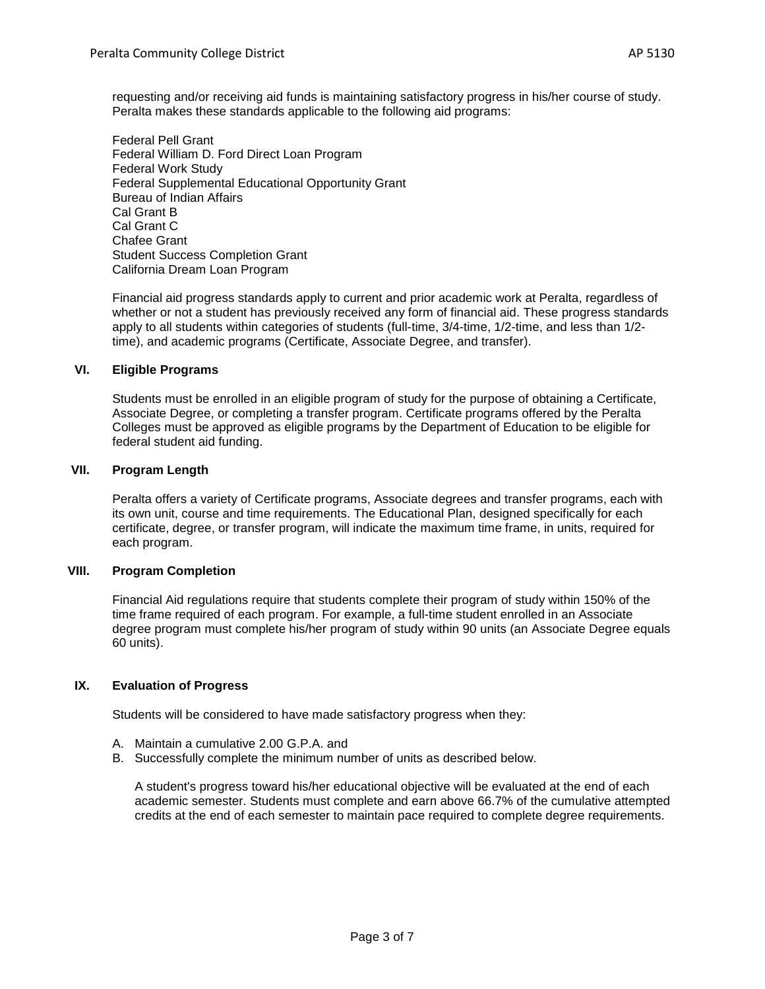requesting and/or receiving aid funds is maintaining satisfactory progress in his/her course of study. Peralta makes these standards applicable to the following aid programs:

Federal Pell Grant Federal William D. Ford Direct Loan Program Federal Work Study Federal Supplemental Educational Opportunity Grant Bureau of Indian Affairs Cal Grant B Cal Grant C Chafee Grant Student Success Completion Grant California Dream Loan Program

Financial aid progress standards apply to current and prior academic work at Peralta, regardless of whether or not a student has previously received any form of financial aid. These progress standards apply to all students within categories of students (full-time, 3/4-time, 1/2-time, and less than 1/2 time), and academic programs (Certificate, Associate Degree, and transfer).

## **VI. Eligible Programs**

Students must be enrolled in an eligible program of study for the purpose of obtaining a Certificate, Associate Degree, or completing a transfer program. Certificate programs offered by the Peralta Colleges must be approved as eligible programs by the Department of Education to be eligible for federal student aid funding.

## **VII. Program Length**

Peralta offers a variety of Certificate programs, Associate degrees and transfer programs, each with its own unit, course and time requirements. The Educational Plan, designed specifically for each certificate, degree, or transfer program, will indicate the maximum time frame, in units, required for each program.

### **VIII. Program Completion**

Financial Aid regulations require that students complete their program of study within 150% of the time frame required of each program. For example, a full-time student enrolled in an Associate degree program must complete his/her program of study within 90 units (an Associate Degree equals 60 units).

### **IX. Evaluation of Progress**

Students will be considered to have made satisfactory progress when they:

- A. Maintain a cumulative 2.00 G.P.A. and
- B. Successfully complete the minimum number of units as described below.

A student's progress toward his/her educational objective will be evaluated at the end of each academic semester. Students must complete and earn above 66.7% of the cumulative attempted credits at the end of each semester to maintain pace required to complete degree requirements.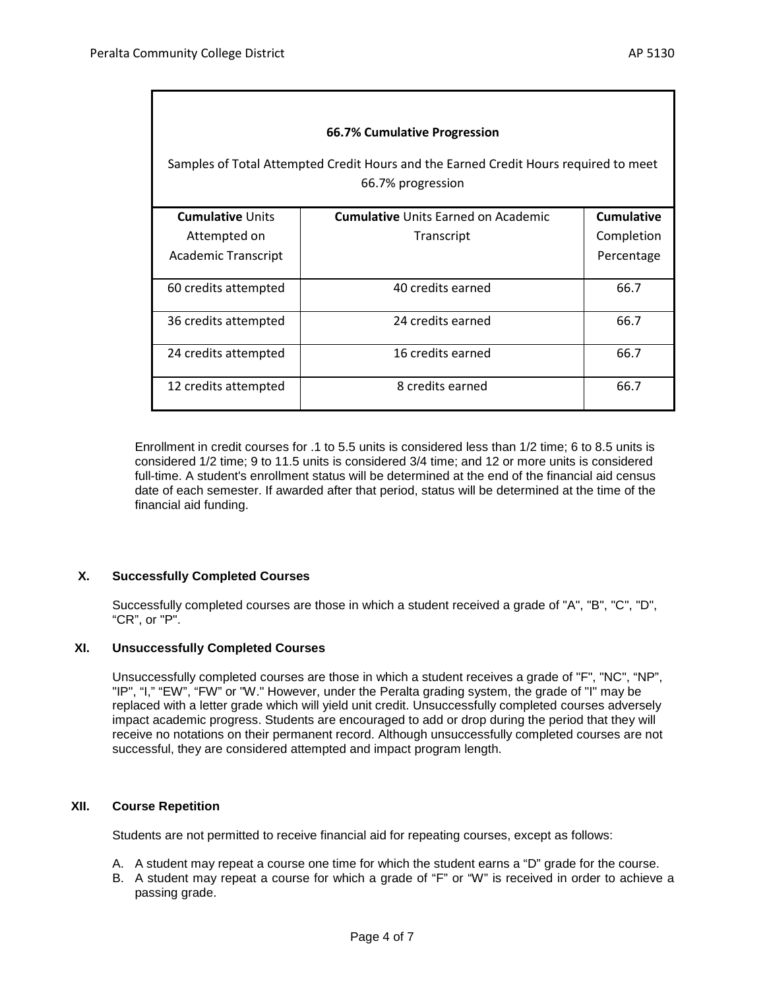| 66.7% Cumulative Progression<br>Samples of Total Attempted Credit Hours and the Earned Credit Hours required to meet<br>66.7% progression |                                            |                   |
|-------------------------------------------------------------------------------------------------------------------------------------------|--------------------------------------------|-------------------|
| <b>Cumulative Units</b>                                                                                                                   | <b>Cumulative Units Earned on Academic</b> | <b>Cumulative</b> |
| Attempted on                                                                                                                              | Transcript                                 | Completion        |
| Academic Transcript                                                                                                                       |                                            | Percentage        |
| 60 credits attempted                                                                                                                      | 40 credits earned                          | 66.7              |
| 36 credits attempted                                                                                                                      | 24 credits earned                          | 66.7              |
| 24 credits attempted                                                                                                                      | 16 credits earned                          | 66.7              |
| 12 credits attempted                                                                                                                      | 8 credits earned                           | 66.7              |

Enrollment in credit courses for .1 to 5.5 units is considered less than 1/2 time; 6 to 8.5 units is considered 1/2 time; 9 to 11.5 units is considered 3/4 time; and 12 or more units is considered full-time. A student's enrollment status will be determined at the end of the financial aid census date of each semester. If awarded after that period, status will be determined at the time of the financial aid funding.

## **X. Successfully Completed Courses**

Successfully completed courses are those in which a student received a grade of "A", "B", "C", "D", "CR", or "P".

### **XI. Unsuccessfully Completed Courses**

Unsuccessfully completed courses are those in which a student receives a grade of "F", "NC", "NP", "IP", "I," "EW", "FW" or "W." However, under the Peralta grading system, the grade of "I" may be replaced with a letter grade which will yield unit credit. Unsuccessfully completed courses adversely impact academic progress. Students are encouraged to add or drop during the period that they will receive no notations on their permanent record. Although unsuccessfully completed courses are not successful, they are considered attempted and impact program length.

### **XII. Course Repetition**

Students are not permitted to receive financial aid for repeating courses, except as follows:

- A. A student may repeat a course one time for which the student earns a "D" grade for the course.
- B. A student may repeat a course for which a grade of "F" or "W" is received in order to achieve a passing grade.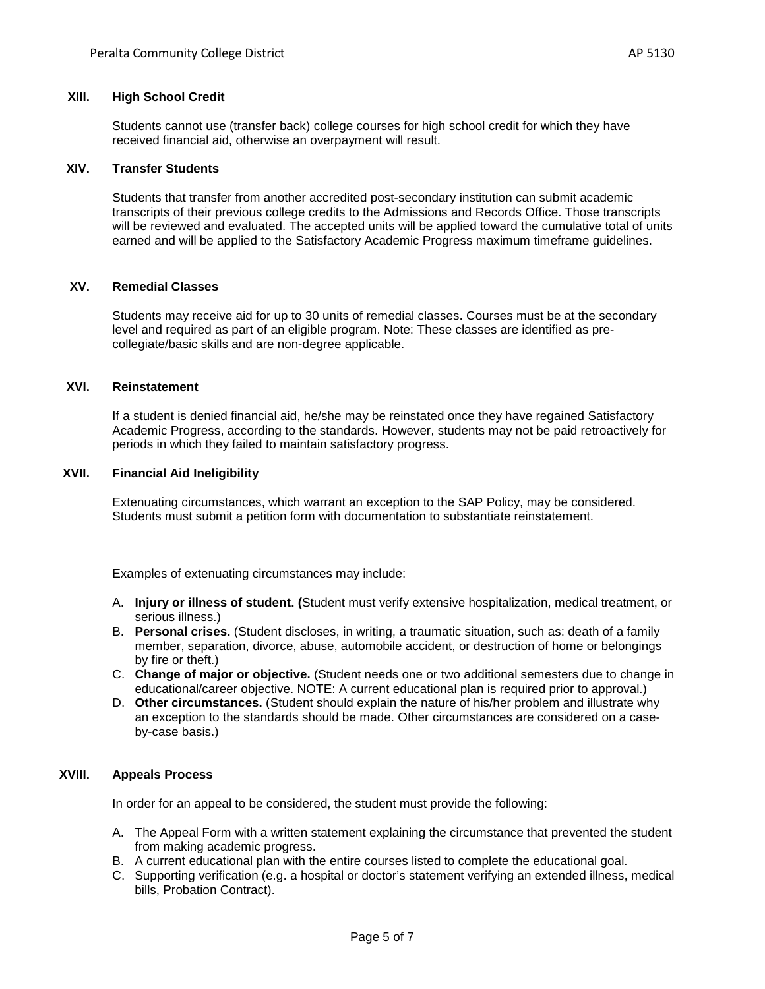## **XIII. High School Credit**

Students cannot use (transfer back) college courses for high school credit for which they have received financial aid, otherwise an overpayment will result.

#### **XIV. Transfer Students**

Students that transfer from another accredited post-secondary institution can submit academic transcripts of their previous college credits to the Admissions and Records Office. Those transcripts will be reviewed and evaluated. The accepted units will be applied toward the cumulative total of units earned and will be applied to the Satisfactory Academic Progress maximum timeframe guidelines.

### **XV. Remedial Classes**

Students may receive aid for up to 30 units of remedial classes. Courses must be at the secondary level and required as part of an eligible program. Note: These classes are identified as precollegiate/basic skills and are non-degree applicable.

### **XVI. Reinstatement**

If a student is denied financial aid, he/she may be reinstated once they have regained Satisfactory Academic Progress, according to the standards. However, students may not be paid retroactively for periods in which they failed to maintain satisfactory progress.

## **XVII. Financial Aid Ineligibility**

Extenuating circumstances, which warrant an exception to the SAP Policy, may be considered. Students must submit a petition form with documentation to substantiate reinstatement.

Examples of extenuating circumstances may include:

- A. **Injury or illness of student. (**Student must verify extensive hospitalization, medical treatment, or serious illness.)
- B. **Personal crises.** (Student discloses, in writing, a traumatic situation, such as: death of a family member, separation, divorce, abuse, automobile accident, or destruction of home or belongings by fire or theft.)
- C. **Change of major or objective.** (Student needs one or two additional semesters due to change in educational/career objective. NOTE: A current educational plan is required prior to approval.)
- D. **Other circumstances.** (Student should explain the nature of his/her problem and illustrate why an exception to the standards should be made. Other circumstances are considered on a caseby-case basis.)

### **XVIII. Appeals Process**

In order for an appeal to be considered, the student must provide the following:

- A. The Appeal Form with a written statement explaining the circumstance that prevented the student from making academic progress.
- B. A current educational plan with the entire courses listed to complete the educational goal.
- C. Supporting verification (e.g. a hospital or doctor's statement verifying an extended illness, medical bills, Probation Contract).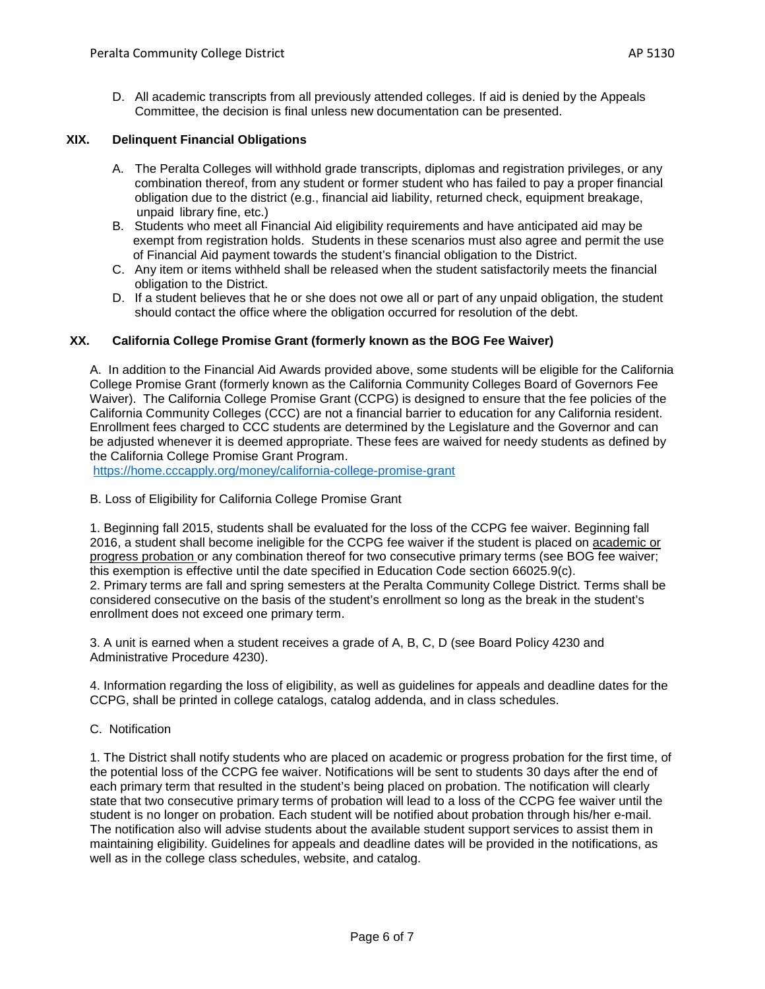D. All academic transcripts from all previously attended colleges. If aid is denied by the Appeals Committee, the decision is final unless new documentation can be presented.

# **XIX. Delinquent Financial Obligations**

- A. The Peralta Colleges will withhold grade transcripts, diplomas and registration privileges, or any combination thereof, from any student or former student who has failed to pay a proper financial obligation due to the district (e.g., financial aid liability, returned check, equipment breakage, unpaid library fine, etc.)
- B. Students who meet all Financial Aid eligibility requirements and have anticipated aid may be exempt from registration holds. Students in these scenarios must also agree and permit the use of Financial Aid payment towards the student's financial obligation to the District.
- C. Any item or items withheld shall be released when the student satisfactorily meets the financial obligation to the District.
- D. If a student believes that he or she does not owe all or part of any unpaid obligation, the student should contact the office where the obligation occurred for resolution of the debt.

# **XX. California College Promise Grant (formerly known as the BOG Fee Waiver)**

A. In addition to the Financial Aid Awards provided above, some students will be eligible for the California College Promise Grant (formerly known as the California Community Colleges Board of Governors Fee Waiver). The California College Promise Grant (CCPG) is designed to ensure that the fee policies of the California Community Colleges (CCC) are not a financial barrier to education for any California resident. Enrollment fees charged to CCC students are determined by the Legislature and the Governor and can be adjusted whenever it is deemed appropriate. These fees are waived for needy students as defined by the California College Promise Grant Program.

<https://home.cccapply.org/money/california-college-promise-grant>

B. Loss of Eligibility for California College Promise Grant

1. Beginning fall 2015, students shall be evaluated for the loss of the CCPG fee waiver. Beginning fall 2016, a student shall become ineligible for the CCPG fee waiver if the student is placed on academic or progress probation or any combination thereof for two consecutive primary terms (see BOG fee waiver; this exemption is effective until the date specified in Education Code section 66025.9(c). 2. Primary terms are fall and spring semesters at the Peralta Community College District. Terms shall be considered consecutive on the basis of the student's enrollment so long as the break in the student's enrollment does not exceed one primary term.

3. A unit is earned when a student receives a grade of A, B, C, D (see Board Policy 4230 and Administrative Procedure 4230).

4. Information regarding the loss of eligibility, as well as guidelines for appeals and deadline dates for the CCPG, shall be printed in college catalogs, catalog addenda, and in class schedules.

C. Notification

1. The District shall notify students who are placed on academic or progress probation for the first time, of the potential loss of the CCPG fee waiver. Notifications will be sent to students 30 days after the end of each primary term that resulted in the student's being placed on probation. The notification will clearly state that two consecutive primary terms of probation will lead to a loss of the CCPG fee waiver until the student is no longer on probation. Each student will be notified about probation through his/her e-mail. The notification also will advise students about the available student support services to assist them in maintaining eligibility. Guidelines for appeals and deadline dates will be provided in the notifications, as well as in the college class schedules, website, and catalog.